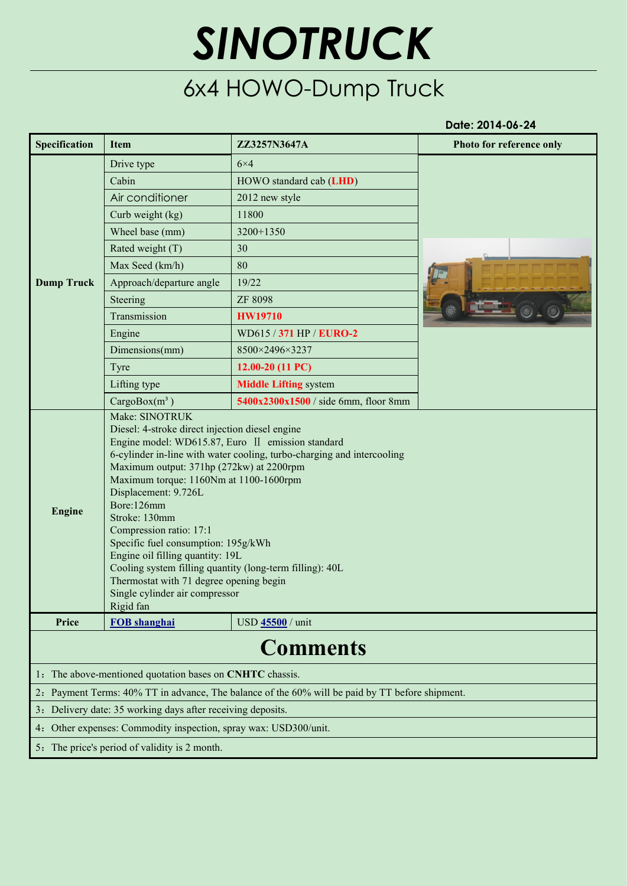## *SINOTRUCK*

## 6x4 HOWO-Dump Truck

**Date: 2014-06-24**

| Specification     | <b>Item</b>                                                                                                                                                                                                                                                                                                                                                                                                                                                                                                                                                                             | ZZ3257N3647A                                                                                    | Photo for reference only |
|-------------------|-----------------------------------------------------------------------------------------------------------------------------------------------------------------------------------------------------------------------------------------------------------------------------------------------------------------------------------------------------------------------------------------------------------------------------------------------------------------------------------------------------------------------------------------------------------------------------------------|-------------------------------------------------------------------------------------------------|--------------------------|
| <b>Dump Truck</b> | Drive type                                                                                                                                                                                                                                                                                                                                                                                                                                                                                                                                                                              | $6\times4$                                                                                      |                          |
|                   | Cabin                                                                                                                                                                                                                                                                                                                                                                                                                                                                                                                                                                                   | HOWO standard cab (LHD)                                                                         |                          |
|                   | Air conditioner                                                                                                                                                                                                                                                                                                                                                                                                                                                                                                                                                                         | 2012 new style                                                                                  |                          |
|                   | Curb weight (kg)                                                                                                                                                                                                                                                                                                                                                                                                                                                                                                                                                                        | 11800                                                                                           |                          |
|                   | Wheel base (mm)                                                                                                                                                                                                                                                                                                                                                                                                                                                                                                                                                                         | 3200+1350                                                                                       |                          |
|                   | Rated weight (T)                                                                                                                                                                                                                                                                                                                                                                                                                                                                                                                                                                        | 30                                                                                              |                          |
|                   | Max Seed (km/h)                                                                                                                                                                                                                                                                                                                                                                                                                                                                                                                                                                         | 80                                                                                              |                          |
|                   | Approach/departure angle                                                                                                                                                                                                                                                                                                                                                                                                                                                                                                                                                                | 19/22                                                                                           |                          |
|                   | Steering                                                                                                                                                                                                                                                                                                                                                                                                                                                                                                                                                                                | <b>ZF 8098</b>                                                                                  |                          |
|                   | Transmission                                                                                                                                                                                                                                                                                                                                                                                                                                                                                                                                                                            | <b>HW19710</b>                                                                                  |                          |
|                   | Engine                                                                                                                                                                                                                                                                                                                                                                                                                                                                                                                                                                                  | WD615 / 371 HP / EURO-2                                                                         |                          |
|                   | Dimensions(mm)                                                                                                                                                                                                                                                                                                                                                                                                                                                                                                                                                                          | 8500×2496×3237                                                                                  |                          |
|                   | Tyre                                                                                                                                                                                                                                                                                                                                                                                                                                                                                                                                                                                    | 12.00-20 (11 PC)                                                                                |                          |
|                   | Lifting type                                                                                                                                                                                                                                                                                                                                                                                                                                                                                                                                                                            | <b>Middle Lifting system</b>                                                                    |                          |
|                   | $CargoBox(m^3)$                                                                                                                                                                                                                                                                                                                                                                                                                                                                                                                                                                         | 5400x2300x1500 / side 6mm, floor 8mm                                                            |                          |
| <b>Engine</b>     | Diesel: 4-stroke direct injection diesel engine<br>Engine model: WD615.87, Euro II emission standard<br>6-cylinder in-line with water cooling, turbo-charging and intercooling<br>Maximum output: 371hp (272kw) at 2200rpm<br>Maximum torque: 1160Nm at 1100-1600rpm<br>Displacement: 9.726L<br>Bore:126mm<br>Stroke: 130mm<br>Compression ratio: 17:1<br>Specific fuel consumption: 195g/kWh<br>Engine oil filling quantity: 19L<br>Cooling system filling quantity (long-term filling): 40L<br>Thermostat with 71 degree opening begin<br>Single cylinder air compressor<br>Rigid fan |                                                                                                 |                          |
| Price             | <b>FOB</b> shanghai                                                                                                                                                                                                                                                                                                                                                                                                                                                                                                                                                                     | USD 45500 / unit                                                                                |                          |
|                   |                                                                                                                                                                                                                                                                                                                                                                                                                                                                                                                                                                                         | <b>Comments</b>                                                                                 |                          |
|                   | 1. The above-mentioned quotation bases on CNHTC chassis.                                                                                                                                                                                                                                                                                                                                                                                                                                                                                                                                |                                                                                                 |                          |
|                   |                                                                                                                                                                                                                                                                                                                                                                                                                                                                                                                                                                                         | 2. Payment Terms: 40% TT in advance, The balance of the 60% will be paid by TT before shipment. |                          |
|                   | 3. Delivery date: 35 working days after receiving deposits.                                                                                                                                                                                                                                                                                                                                                                                                                                                                                                                             |                                                                                                 |                          |
|                   | 4. Other expenses: Commodity inspection, spray wax: USD300/unit.                                                                                                                                                                                                                                                                                                                                                                                                                                                                                                                        |                                                                                                 |                          |
|                   | 5. The price's period of validity is 2 month.                                                                                                                                                                                                                                                                                                                                                                                                                                                                                                                                           |                                                                                                 |                          |